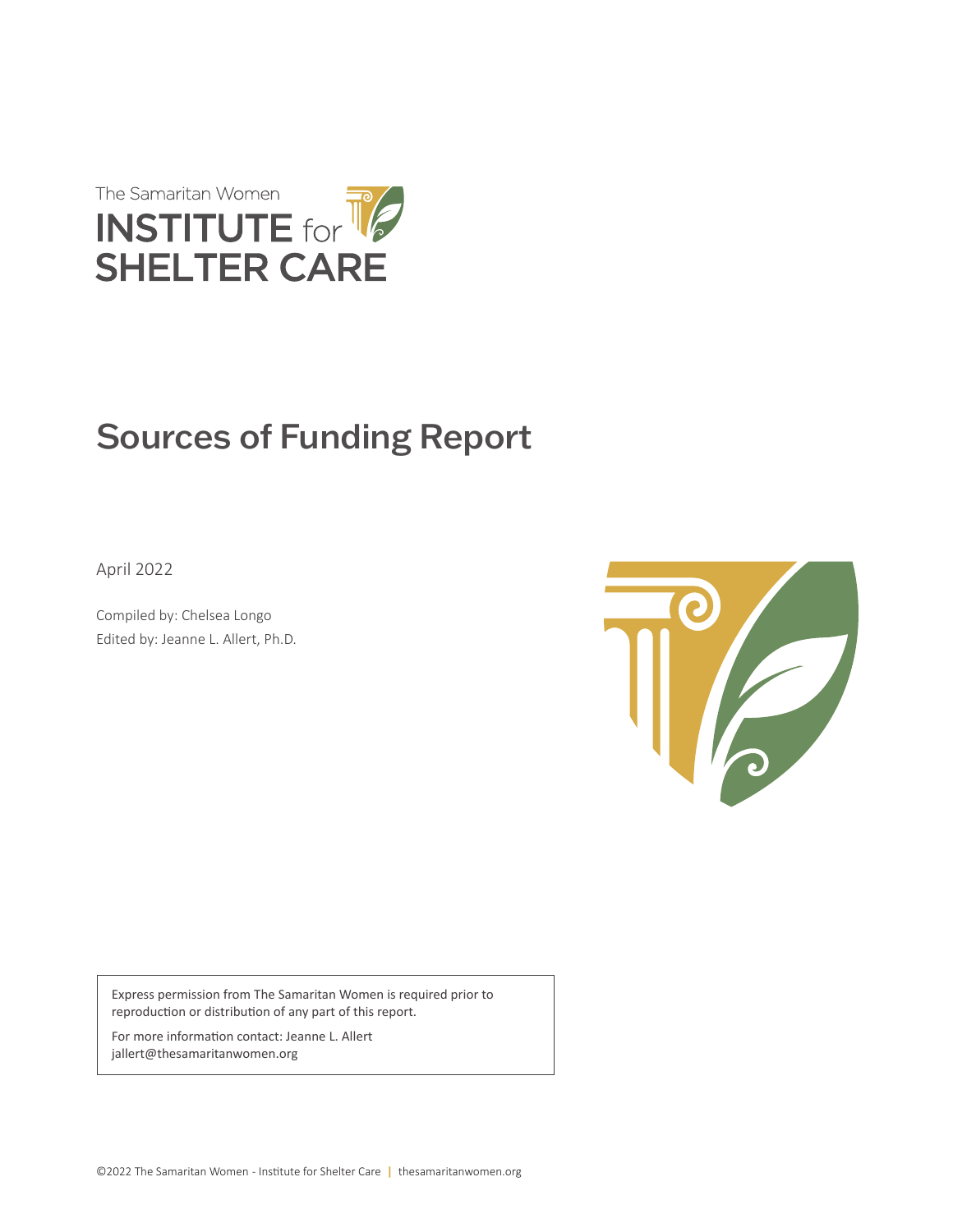

# Sources of Funding Report

April 2022

Compiled by: Chelsea Longo Edited by: Jeanne L. Allert, Ph.D.



Express permission from The Samaritan Women is required prior to reproduction or distribution of any part of this report.

For more information contact: Jeanne L. Allert jallert@thesamaritanwomen.org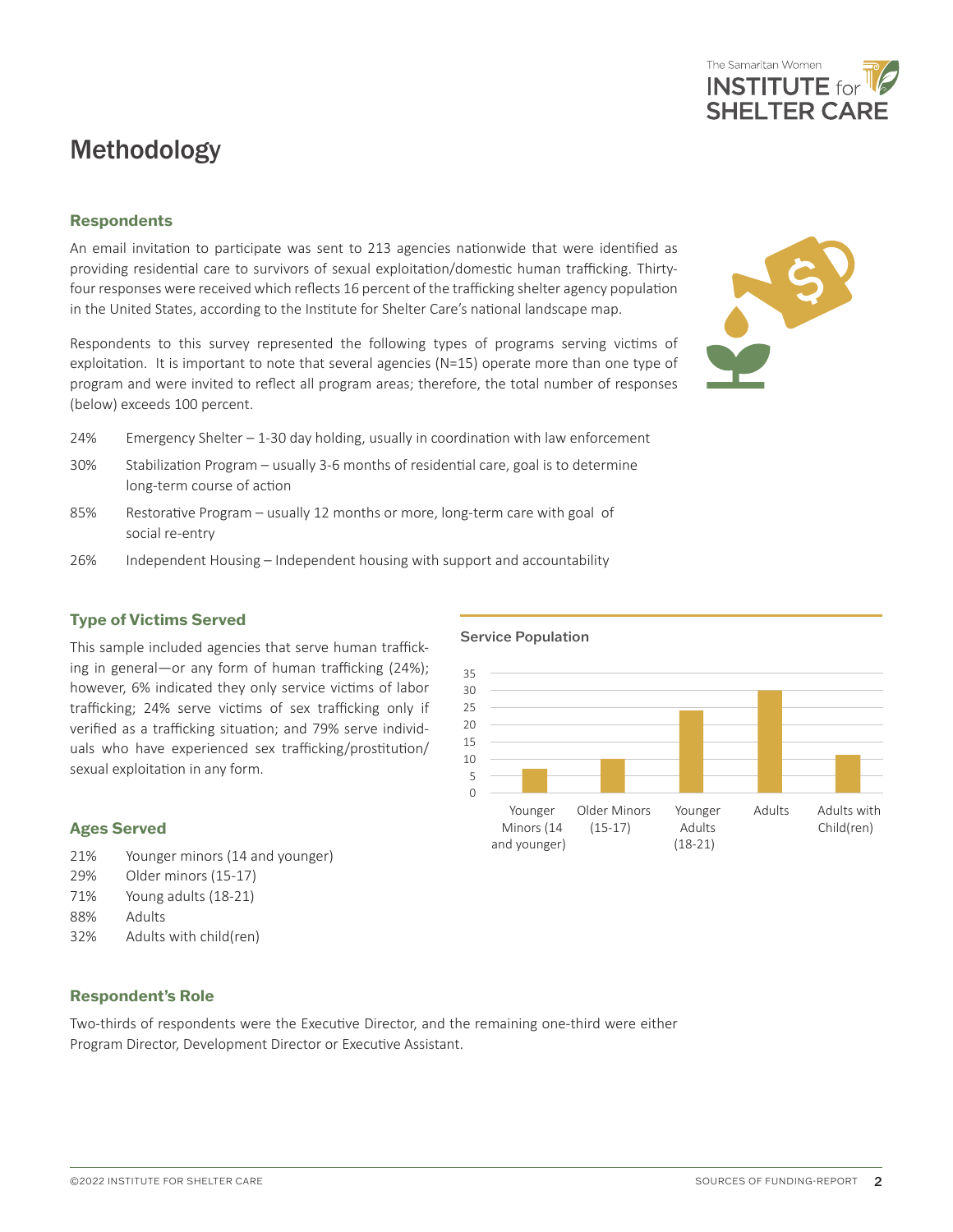### Methodology

#### **Respondents**

An email invitation to participate was sent to 213 agencies nationwide that were identified as providing residential care to survivors of sexual exploitation/domestic human trafficking. Thirtyfour responses were received which reflects 16 percent of the trafficking shelter agency population in the United States, according to the Institute for Shelter Care's national landscape map.

Respondents to this survey represented the following types of programs serving victims of exploitation. It is important to note that several agencies (N=15) operate more than one type of program and were invited to reflect all program areas; therefore, the total number of responses (below) exceeds 100 percent.

- 24% Emergency Shelter 1-30 day holding, usually in coordination with law enforcement
- 30% Stabilization Program usually 3-6 months of residential care, goal is to determine long-term course of action
- 85% Restorative Program usually 12 months or more, long-term care with goal of social re-entry
- 26% Independent Housing Independent housing with support and accountability

#### **Type of Victims Served**

This sample included agencies that serve human trafficking in general—or any form of human trafficking (24%); however, 6% indicated they only service victims of labor trafficking; 24% serve victims of sex trafficking only if verified as a trafficking situation; and 79% serve individuals who have experienced sex trafficking/prostitution/ sexual exploitation in any form.

### **Ages Served** 21% Younger minors (14 and younger)

- 29% Older minors (15-17)
- 71% Young adults (18-21)
- 88% Adults
- 32% Adults with child(ren)

#### **Respondent's Role**

Two-thirds of respondents were the Executive Director, and the remaining one-third were either Program Director, Development Director or Executive Assistant.

#### Younger Minors (14 and younger) Older Minors (15-17) Younger Adults (18-21) Adults Adults with Child(ren) 35 30 25  $20$ 15 10 5 0

Service Population



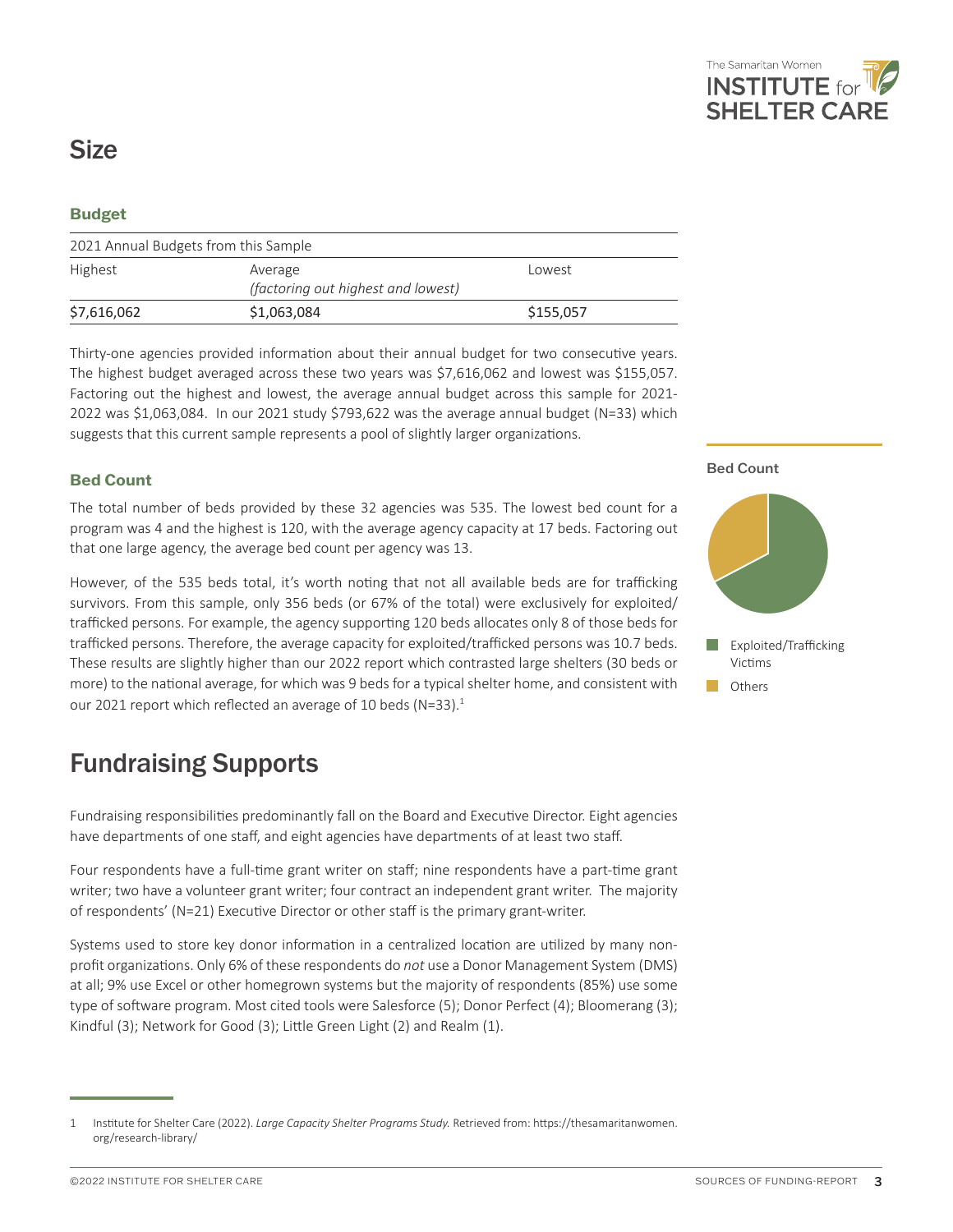

### **Size**

#### **Budget**

| 2021 Annual Budgets from this Sample |                                                         |           |
|--------------------------------------|---------------------------------------------------------|-----------|
| Highest                              | Lowest<br>Average<br>(factoring out highest and lowest) |           |
| \$7,616,062                          | \$1,063,084                                             | \$155,057 |

Thirty-one agencies provided information about their annual budget for two consecutive years. The highest budget averaged across these two years was \$7,616,062 and lowest was \$155,057. Factoring out the highest and lowest, the average annual budget across this sample for 2021- 2022 was \$1,063,084. In our 2021 study \$793,622 was the average annual budget (N=33) which suggests that this current sample represents a pool of slightly larger organizations.

#### **Bed Count**

The total number of beds provided by these 32 agencies was 535. The lowest bed count for a program was 4 and the highest is 120, with the average agency capacity at 17 beds. Factoring out that one large agency, the average bed count per agency was 13.

However, of the 535 beds total, it's worth noting that not all available beds are for trafficking survivors. From this sample, only 356 beds (or 67% of the total) were exclusively for exploited/ trafficked persons. For example, the agency supporting 120 beds allocates only 8 of those beds for trafficked persons. Therefore, the average capacity for exploited/trafficked persons was 10.7 beds. These results are slightly higher than our 2022 report which contrasted large shelters (30 beds or more) to the national average, for which was 9 beds for a typical shelter home, and consistent with our 2021 report which reflected an average of 10 beds (N=33). $1$ 

### Fundraising Supports

Fundraising responsibilities predominantly fall on the Board and Executive Director. Eight agencies have departments of one staff, and eight agencies have departments of at least two staff.

Four respondents have a full-time grant writer on staff; nine respondents have a part-time grant writer; two have a volunteer grant writer; four contract an independent grant writer. The majority of respondents' (N=21) Executive Director or other staff is the primary grant-writer.

Systems used to store key donor information in a centralized location are utilized by many nonprofit organizations. Only 6% of these respondents do *not* use a Donor Management System (DMS) at all; 9% use Excel or other homegrown systems but the majority of respondents (85%) use some type of software program. Most cited tools were Salesforce (5); Donor Perfect (4); Bloomerang (3); Kindful (3); Network for Good (3); Little Green Light (2) and Realm (1).

#### Bed Count





<sup>1</sup> Institute for Shelter Care (2022). *Large Capacity Shelter Programs Study.* Retrieved from: https://thesamaritanwomen. org/research-library/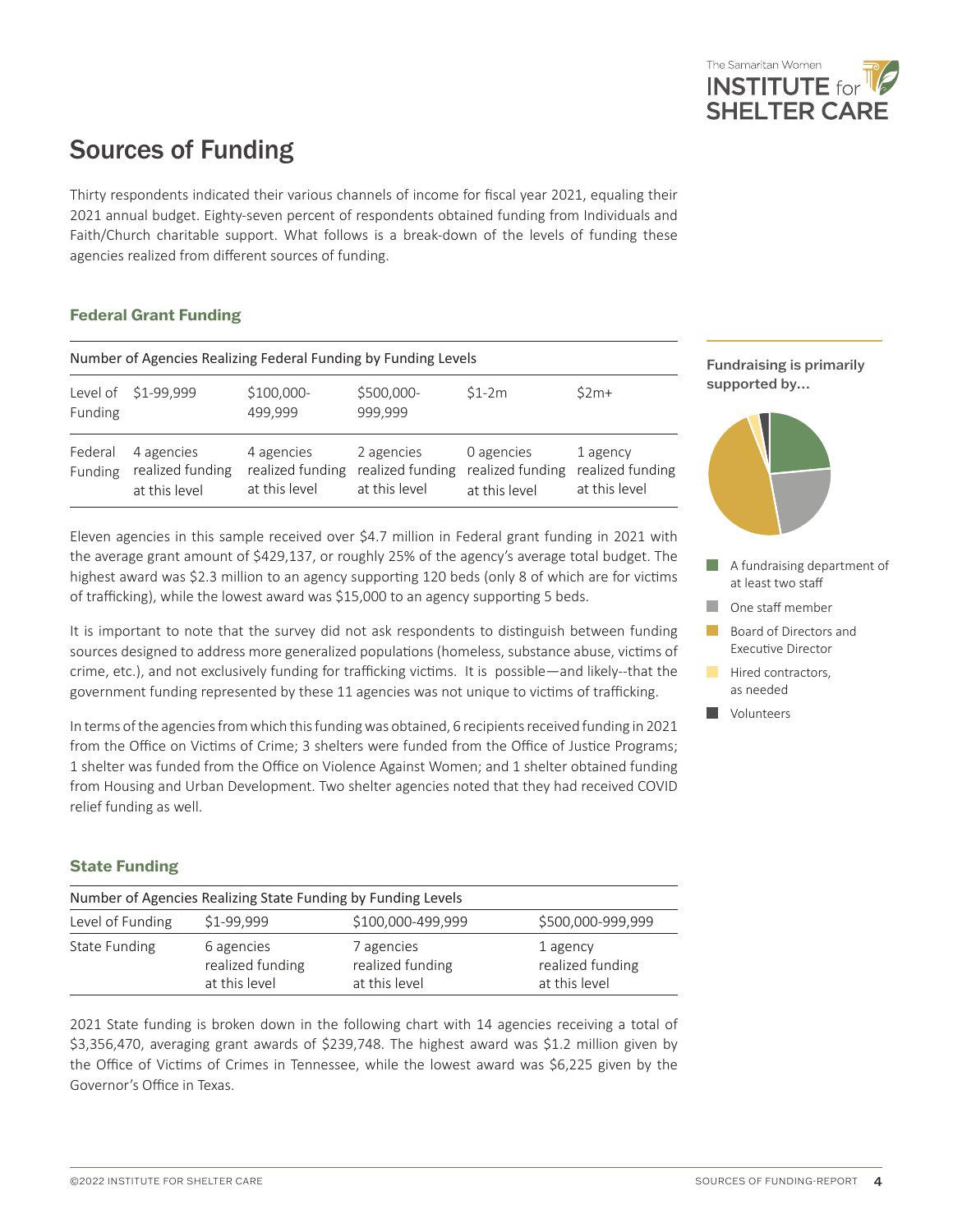

## Sources of Funding

Thirty respondents indicated their various channels of income for fiscal year 2021, equaling their 2021 annual budget. Eighty-seven percent of respondents obtained funding from Individuals and Faith/Church charitable support. What follows is a break-down of the levels of funding these agencies realized from different sources of funding.

#### **Federal Grant Funding**

| Number of Agencies Realizing Federal Funding by Funding Levels |                                                 |                                                 |                                                 |                                                 |                                               |
|----------------------------------------------------------------|-------------------------------------------------|-------------------------------------------------|-------------------------------------------------|-------------------------------------------------|-----------------------------------------------|
| Funding                                                        | Level of \$1-99,999                             | \$100,000-<br>499,999                           | \$500,000-<br>999.999                           | $$1-2m$                                         | $52m+$                                        |
| Federal<br>Funding                                             | 4 agencies<br>realized funding<br>at this level | 4 agencies<br>realized funding<br>at this level | 2 agencies<br>realized funding<br>at this level | 0 agencies<br>realized funding<br>at this level | 1 agency<br>realized funding<br>at this level |

Eleven agencies in this sample received over \$4.7 million in Federal grant funding in 2021 with the average grant amount of \$429,137, or roughly 25% of the agency's average total budget. The highest award was \$2.3 million to an agency supporting 120 beds (only 8 of which are for victims of trafficking), while the lowest award was \$15,000 to an agency supporting 5 beds.

It is important to note that the survey did not ask respondents to distinguish between funding sources designed to address more generalized populations (homeless, substance abuse, victims of crime, etc.), and not exclusively funding for trafficking victims. It is possible—and likely--that the government funding represented by these 11 agencies was not unique to victims of trafficking.

In terms of the agencies from which this funding was obtained, 6 recipients received funding in 2021 from the Office on Victims of Crime; 3 shelters were funded from the Office of Justice Programs; 1 shelter was funded from the Office on Violence Against Women; and 1 shelter obtained funding from Housing and Urban Development. Two shelter agencies noted that they had received COVID relief funding as well.

#### **State Funding**

| Number of Agencies Realizing State Funding by Funding Levels |                                                 |                                                 |                                               |
|--------------------------------------------------------------|-------------------------------------------------|-------------------------------------------------|-----------------------------------------------|
| Level of Funding                                             | \$1-99.999                                      | \$100,000-499,999                               | \$500,000-999,999                             |
| State Funding                                                | 6 agencies<br>realized funding<br>at this level | 7 agencies<br>realized funding<br>at this level | 1 agency<br>realized funding<br>at this level |

2021 State funding is broken down in the following chart with 14 agencies receiving a total of \$3,356,470, averaging grant awards of \$239,748. The highest award was \$1.2 million given by the Office of Victims of Crimes in Tennessee, while the lowest award was \$6,225 given by the Governor's Office in Texas.

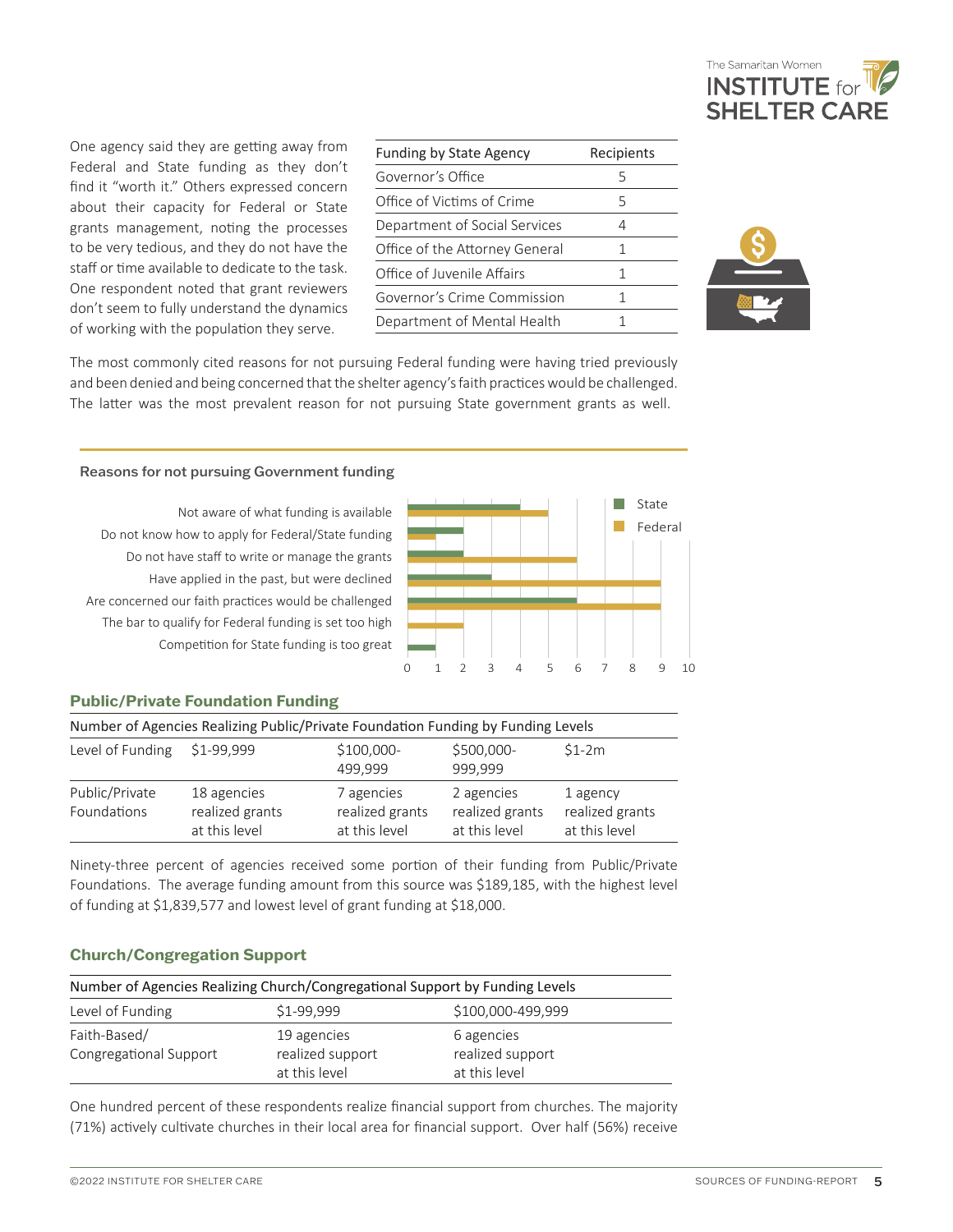

One agency said they are getting away from Federal and State funding as they don't find it "worth it." Others expressed concern about their capacity for Federal or State grants management, noting the processes to be very tedious, and they do not have the staff or time available to dedicate to the task. One respondent noted that grant reviewers don't seem to fully understand the dynamics of working with the population they serve.

| <b>Funding by State Agency</b> | Recipients |
|--------------------------------|------------|
| Governor's Office              | 5          |
| Office of Victims of Crime     | 5          |
| Department of Social Services  | 4          |
| Office of the Attorney General | 1          |
| Office of Juvenile Affairs     | 1          |
| Governor's Crime Commission    | 1          |
| Department of Mental Health    |            |



The most commonly cited reasons for not pursuing Federal funding were having tried previously and been denied and being concerned that the shelter agency's faith practices would be challenged. The latter was the most prevalent reason for not pursuing State government grants as well.

#### Reasons for not pursuing Government funding

Not aware of what funding is available Do not know how to apply for Federal/State funding Do not have staff to write or manage the grants Have applied in the past, but were declined Are concerned our faith practices would be challenged The bar to qualify for Federal funding is set too high Competition for State funding is too great



#### **Public/Private Foundation Funding**

| Number of Agencies Realizing Public/Private Foundation Funding by Funding Levels |                                                 |                                                |                                                |                                              |
|----------------------------------------------------------------------------------|-------------------------------------------------|------------------------------------------------|------------------------------------------------|----------------------------------------------|
| Level of Funding                                                                 | \$1-99,999                                      | $$100,000-$<br>499.999                         | \$500,000-<br>999.999                          | $$1-2m$                                      |
| Public/Private<br>Foundations                                                    | 18 agencies<br>realized grants<br>at this level | 7 agencies<br>realized grants<br>at this level | 2 agencies<br>realized grants<br>at this level | 1 agency<br>realized grants<br>at this level |

Ninety-three percent of agencies received some portion of their funding from Public/Private Foundations. The average funding amount from this source was \$189,185, with the highest level of funding at \$1,839,577 and lowest level of grant funding at \$18,000.

#### **Church/Congregation Support**

| Number of Agencies Realizing Church/Congregational Support by Funding Levels |                                                  |                                                 |  |
|------------------------------------------------------------------------------|--------------------------------------------------|-------------------------------------------------|--|
| \$1-99.999<br>\$100,000-499,999<br>Level of Funding                          |                                                  |                                                 |  |
| Faith-Based/<br>Congregational Support                                       | 19 agencies<br>realized support<br>at this level | 6 agencies<br>realized support<br>at this level |  |

One hundred percent of these respondents realize financial support from churches. The majority (71%) actively cultivate churches in their local area for financial support. Over half (56%) receive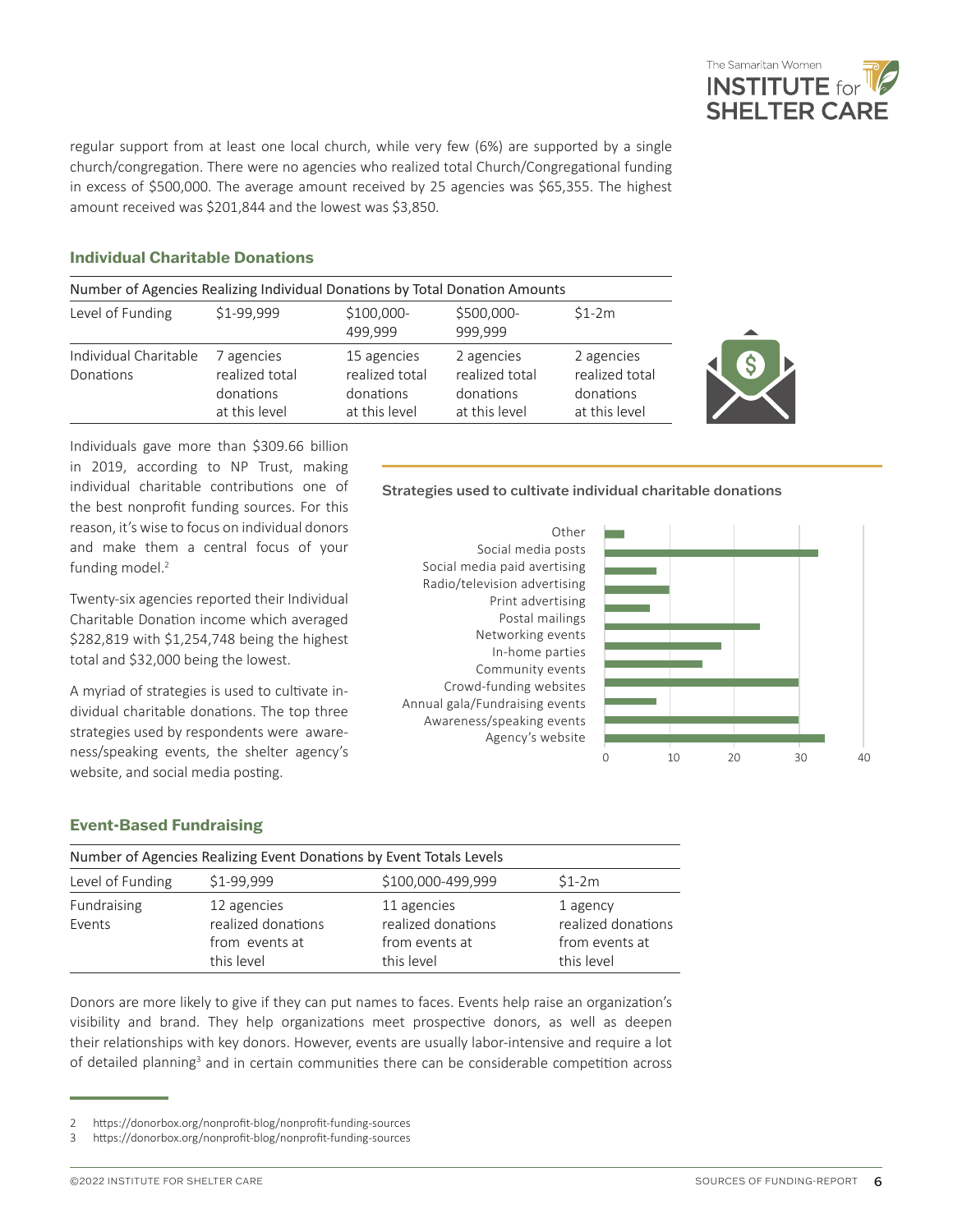

regular support from at least one local church, while very few (6%) are supported by a single church/congregation. There were no agencies who realized total Church/Congregational funding in excess of \$500,000. The average amount received by 25 agencies was \$65,355. The highest amount received was \$201,844 and the lowest was \$3,850.

#### **Individual Charitable Donations**

| Number of Agencies Realizing Individual Donations by Total Donation Amounts |                                                            |                                                             |                                                            |                                                            |
|-----------------------------------------------------------------------------|------------------------------------------------------------|-------------------------------------------------------------|------------------------------------------------------------|------------------------------------------------------------|
| Level of Funding                                                            | \$1-99,999                                                 | \$100,000-<br>499,999                                       | \$500,000-<br>999,999                                      | $$1-2m$                                                    |
| Individual Charitable<br>Donations                                          | 7 agencies<br>realized total<br>donations<br>at this level | 15 agencies<br>realized total<br>donations<br>at this level | 2 agencies<br>realized total<br>donations<br>at this level | 2 agencies<br>realized total<br>donations<br>at this level |



Individuals gave more than \$309.66 billion in 2019, according to NP Trust, making individual charitable contributions one of the best nonprofit funding sources. For this reason, it's wise to focus on individual donors and make them a central focus of your funding model.<sup>2</sup>

Twenty-six agencies reported their Individual Charitable Donation income which averaged \$282,819 with \$1,254,748 being the highest total and \$32,000 being the lowest.

A myriad of strategies is used to cultivate individual charitable donations. The top three strategies used by respondents were awareness/speaking events, the shelter agency's website, and social media posting.

#### Strategies used to cultivate individual charitable donations

Other Social media posts Social media paid avertising Radio/television advertising Print advertising Postal mailings Networking events In-home parties Community events Crowd-funding websites Annual gala/Fundraising events Awareness/speaking events Agency's website



#### **Event-Based Fundraising**

|                       | Number of Agencies Realizing Event Donations by Event Totals Levels |                                                                   |                                                                |
|-----------------------|---------------------------------------------------------------------|-------------------------------------------------------------------|----------------------------------------------------------------|
| Level of Funding      | \$1-99.999                                                          | \$100,000-499,999                                                 | $$1-2m$                                                        |
| Fundraising<br>Events | 12 agencies<br>realized donations<br>from events at<br>this level   | 11 agencies<br>realized donations<br>from events at<br>this level | 1 agency<br>realized donations<br>from events at<br>this level |

Donors are more likely to give if they can put names to faces. Events help raise an organization's visibility and brand. They help organizations meet prospective donors, as well as deepen their relationships with key donors. However, events are usually labor-intensive and require a lot of detailed planning<sup>3</sup> and in certain communities there can be considerable competition across

<sup>2</sup> https://donorbox.org/nonprofit-blog/nonprofit-funding-sources

<sup>3</sup> https://donorbox.org/nonprofit-blog/nonprofit-funding-sources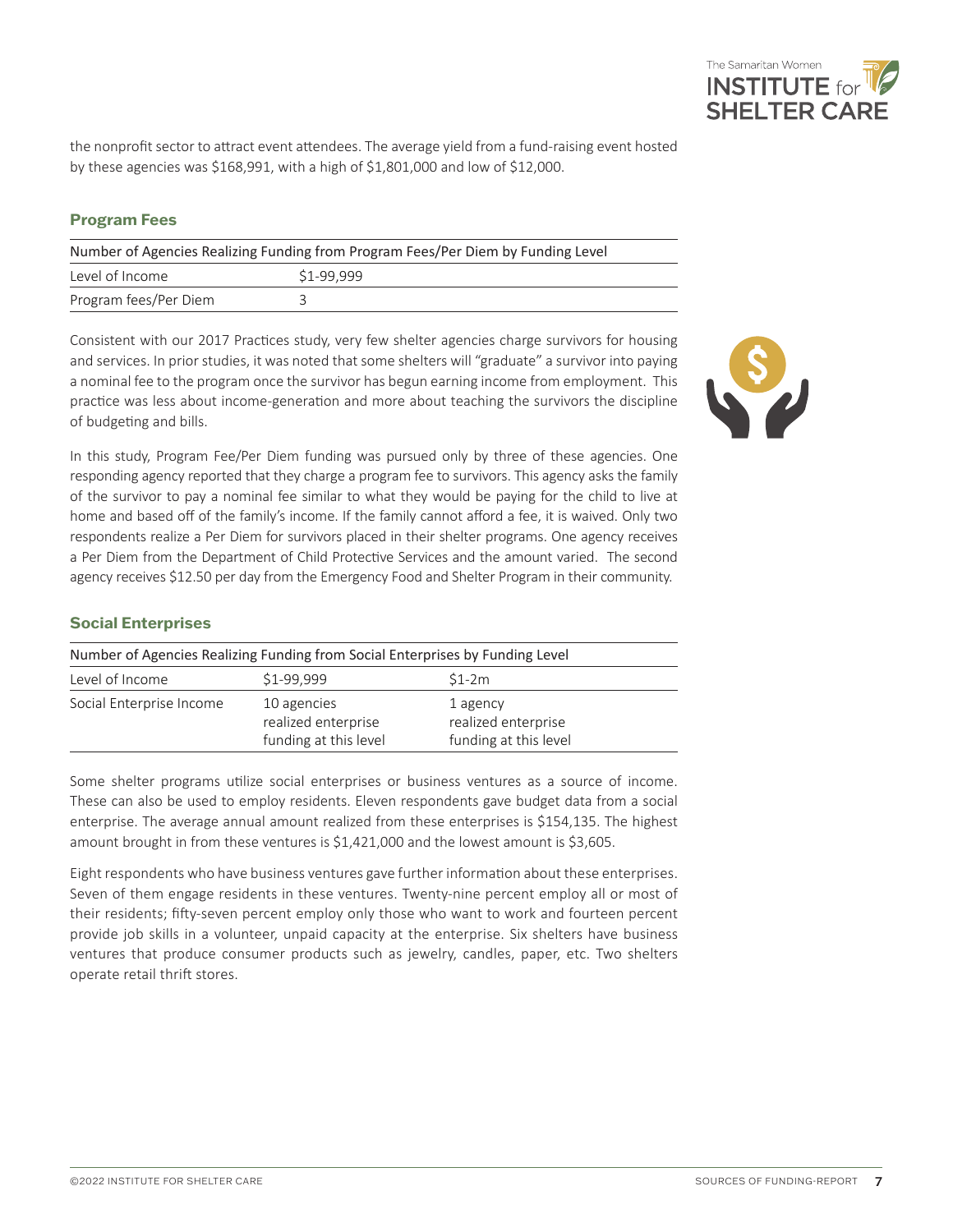

the nonprofit sector to attract event attendees. The average yield from a fund-raising event hosted by these agencies was \$168,991, with a high of \$1,801,000 and low of \$12,000.

#### **Program Fees**

| Number of Agencies Realizing Funding from Program Fees/Per Diem by Funding Level |            |  |  |
|----------------------------------------------------------------------------------|------------|--|--|
| Level of Income                                                                  | \$1-99.999 |  |  |
| Program fees/Per Diem                                                            |            |  |  |

Consistent with our 2017 Practices study, very few shelter agencies charge survivors for housing and services. In prior studies, it was noted that some shelters will "graduate" a survivor into paying a nominal fee to the program once the survivor has begun earning income from employment. This practice was less about income-generation and more about teaching the survivors the discipline of budgeting and bills.

In this study, Program Fee/Per Diem funding was pursued only by three of these agencies. One responding agency reported that they charge a program fee to survivors. This agency asks the family of the survivor to pay a nominal fee similar to what they would be paying for the child to live at home and based off of the family's income. If the family cannot afford a fee, it is waived. Only two respondents realize a Per Diem for survivors placed in their shelter programs. One agency receives a Per Diem from the Department of Child Protective Services and the amount varied. The second agency receives \$12.50 per day from the Emergency Food and Shelter Program in their community.

#### **Social Enterprises**

| Number of Agencies Realizing Funding from Social Enterprises by Funding Level |                                                             |                                                          |  |
|-------------------------------------------------------------------------------|-------------------------------------------------------------|----------------------------------------------------------|--|
| \$1-99.999<br>Level of Income<br>$$1-2m$                                      |                                                             |                                                          |  |
| Social Enterprise Income                                                      | 10 agencies<br>realized enterprise<br>funding at this level | 1 agency<br>realized enterprise<br>funding at this level |  |

Some shelter programs utilize social enterprises or business ventures as a source of income. These can also be used to employ residents. Eleven respondents gave budget data from a social enterprise. The average annual amount realized from these enterprises is \$154,135. The highest amount brought in from these ventures is \$1,421,000 and the lowest amount is \$3,605.

Eight respondents who have business ventures gave further information about these enterprises. Seven of them engage residents in these ventures. Twenty-nine percent employ all or most of their residents; fifty-seven percent employ only those who want to work and fourteen percent provide job skills in a volunteer, unpaid capacity at the enterprise. Six shelters have business ventures that produce consumer products such as jewelry, candles, paper, etc. Two shelters operate retail thrift stores.